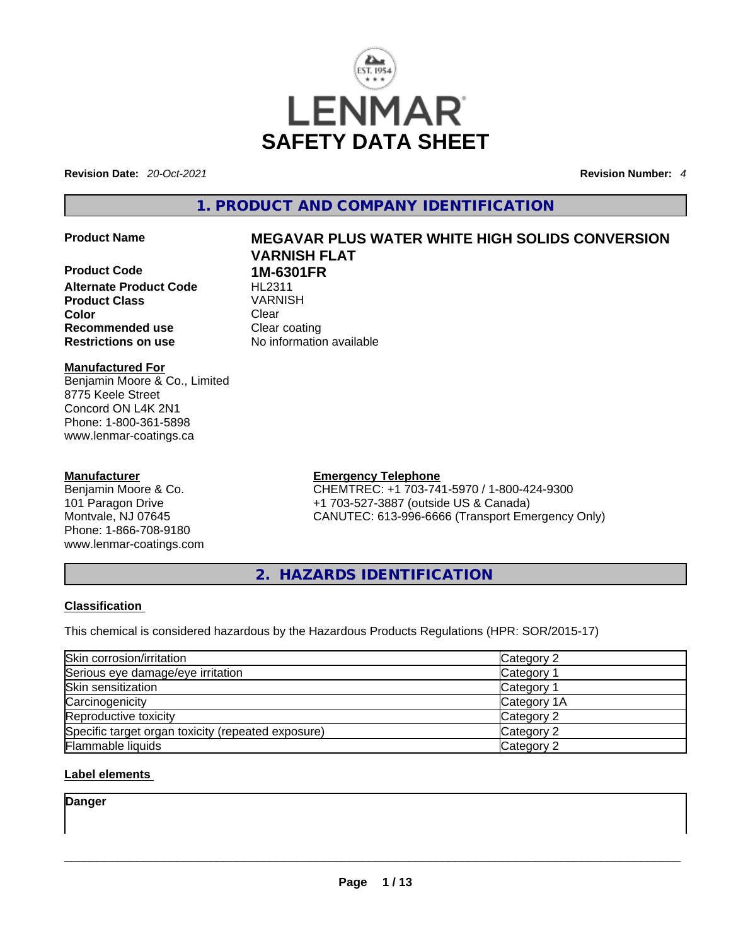

**Revision Date:** *20-Oct-2021* **Revision Number:** *4*

**1. PRODUCT AND COMPANY IDENTIFICATION** 

**Product Code 1M-6301FR Alternate Product Code HL2311 Product Class** VARNISH **Color Clear Recommended use Clear coating<br>
<b>Restrictions on use** 
No information

#### **Manufactured For** Benjamin Moore & Co., Limited 8775 Keele Street Concord ON L4K 2N1 Phone: 1-800-361-5898 www.lenmar-coatings.ca

#### **Manufacturer**

Benjamin Moore & Co. 101 Paragon Drive Montvale, NJ 07645 Phone: 1-866-708-9180 www.lenmar-coatings.com

# **Product Name MEGAVAR PLUS WATER WHITE HIGH SOLIDS CONVERSION VARNISH FLAT**

**Restrictions on use** No information available

**Emergency Telephone** CHEMTREC: +1 703-741-5970 / 1-800-424-9300 +1 703-527-3887 (outside US & Canada) CANUTEC: 613-996-6666 (Transport Emergency Only)

**2. HAZARDS IDENTIFICATION** 

#### **Classification**

This chemical is considered hazardous by the Hazardous Products Regulations (HPR: SOR/2015-17)

| Skin corrosion/irritation                          | Category 2            |
|----------------------------------------------------|-----------------------|
| Serious eye damage/eye irritation                  | Category 1            |
| Skin sensitization                                 | Category <sup>2</sup> |
| Carcinogenicity                                    | Category 1A           |
| Reproductive toxicity                              | Category 2            |
| Specific target organ toxicity (repeated exposure) | Category 2            |
| Flammable liquids                                  | Category 2            |

#### **Label elements**

**Danger**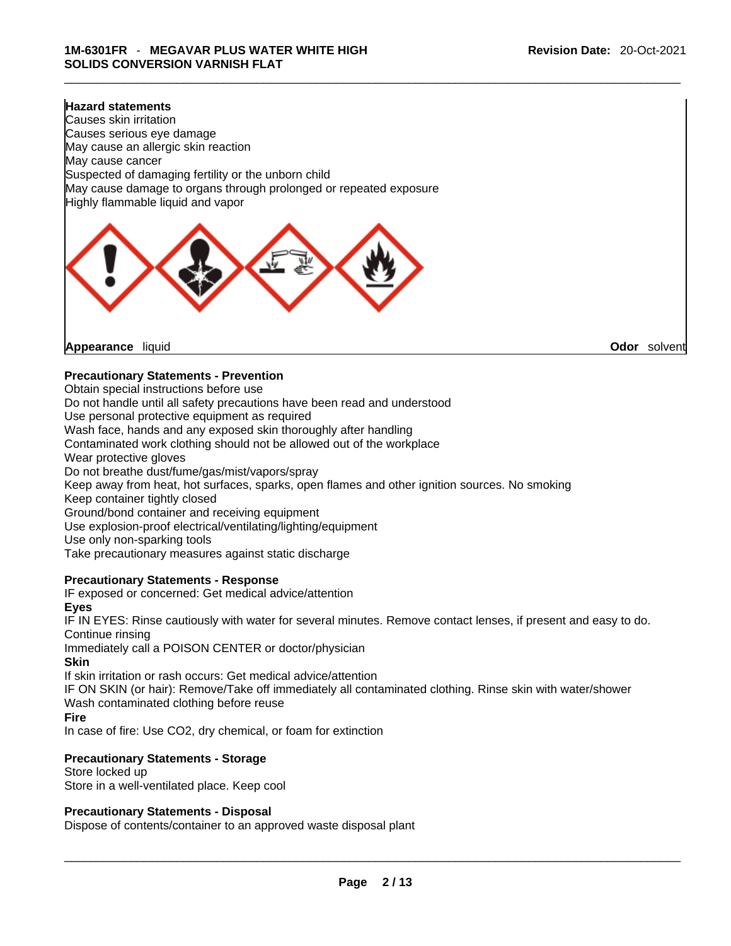#### **Hazard statements**

Causes skin irritation Causes serious eye damage May cause an allergic skin reaction May cause cancer Suspected of damaging fertility or the unborn child May cause damage to organs through prolonged or repeated exposure Highly flammable liquid and vapor



**Appearance** liquid **Odor** *Solvent* **Appearance** liquid **Odor Odor Odor Odor Odor Odor Odor Odor Odor Odor Odor Odor Odor Odor Odor Odor Odor Odor Odor Odor Odor Odor Odor Odor** 

#### **Precautionary Statements - Prevention**

Obtain special instructions before use

Do not handle until all safety precautions have been read and understood

Use personal protective equipment as required

Wash face, hands and any exposed skin thoroughly after handling

Contaminated work clothing should not be allowed out of the workplace

Wear protective gloves

Do not breathe dust/fume/gas/mist/vapors/spray

Keep away from heat, hot surfaces, sparks, open flames and other ignition sources. No smoking

Keep container tightly closed

Ground/bond container and receiving equipment

Use explosion-proof electrical/ventilating/lighting/equipment

Use only non-sparking tools

Take precautionary measures against static discharge

#### **Precautionary Statements - Response**

IF exposed or concerned: Get medical advice/attention

#### **Eyes**

IF IN EYES: Rinse cautiously with water forseveral minutes. Remove contact lenses, if present and easy to do. Continue rinsing

Immediately call a POISON CENTER or doctor/physician

#### **Skin**

If skin irritation or rash occurs: Get medical advice/attention

IF ON SKIN (or hair): Remove/Take off immediately all contaminated clothing. Rinse skin with water/shower Wash contaminated clothing before reuse

#### **Fire**

In case of fire: Use CO2, dry chemical, or foam for extinction

#### **Precautionary Statements - Storage**

Store locked up Store in a well-ventilated place. Keep cool

#### **Precautionary Statements - Disposal**

Dispose of contents/container to an approved waste disposal plant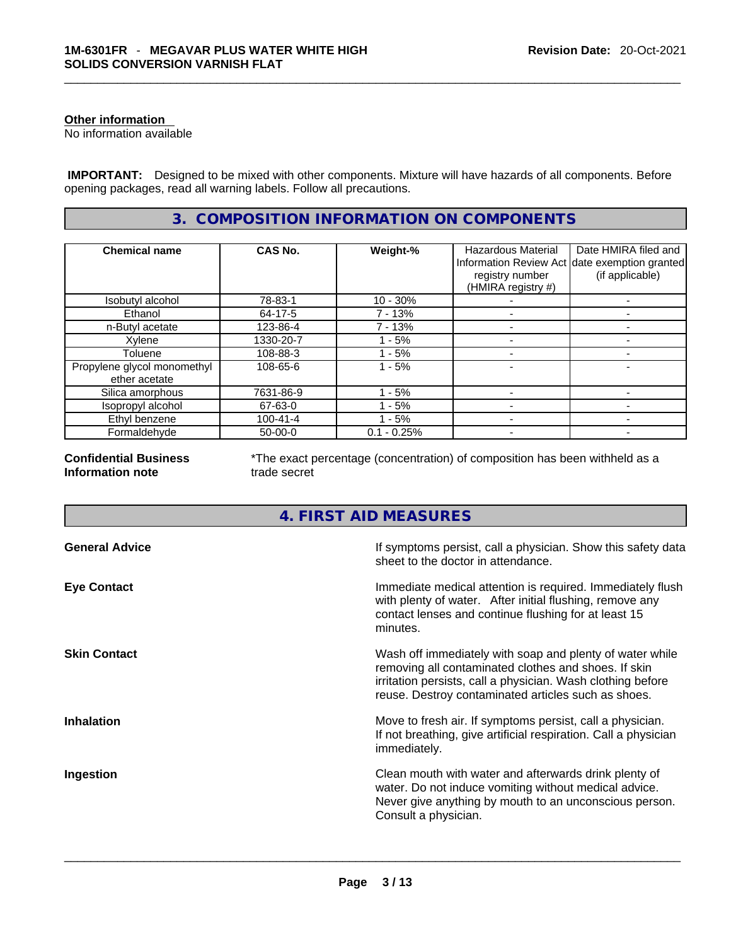#### **Other information**

No information available

 **IMPORTANT:** Designed to be mixed with other components. Mixture will have hazards of all components. Before opening packages, read all warning labels. Follow all precautions.

### **3. COMPOSITION INFORMATION ON COMPONENTS**

| <b>Chemical name</b>                         | <b>CAS No.</b> | Weight-%      | Hazardous Material<br>registry number<br>(HMIRA registry #) | Date HMIRA filed and<br>Information Review Act date exemption granted<br>(if applicable) |
|----------------------------------------------|----------------|---------------|-------------------------------------------------------------|------------------------------------------------------------------------------------------|
| Isobutyl alcohol                             | 78-83-1        | $10 - 30%$    |                                                             |                                                                                          |
| Ethanol                                      | 64-17-5        | 7 - 13%       |                                                             |                                                                                          |
| n-Butyl acetate                              | 123-86-4       | 7 - 13%       |                                                             |                                                                                          |
| Xylene                                       | 1330-20-7      | - 5%          |                                                             |                                                                                          |
| Toluene                                      | 108-88-3       | - 5%          |                                                             |                                                                                          |
| Propylene glycol monomethyl<br>ether acetate | 108-65-6       | $1 - 5%$      |                                                             |                                                                                          |
| Silica amorphous                             | 7631-86-9      | - 5%          |                                                             |                                                                                          |
| Isopropyl alcohol                            | 67-63-0        | $-5%$         |                                                             |                                                                                          |
| Ethyl benzene                                | $100 - 41 - 4$ | - 5%          |                                                             |                                                                                          |
| Formaldehyde                                 | $50-00-0$      | $0.1 - 0.25%$ |                                                             |                                                                                          |

**Confidential Business Information note**

\*The exact percentage (concentration) of composition has been withheld as a trade secret

### **4. FIRST AID MEASURES**

| <b>General Advice</b> | If symptoms persist, call a physician. Show this safety data<br>sheet to the doctor in attendance.                                                                                                                                     |
|-----------------------|----------------------------------------------------------------------------------------------------------------------------------------------------------------------------------------------------------------------------------------|
| <b>Eye Contact</b>    | Immediate medical attention is required. Immediately flush<br>with plenty of water. After initial flushing, remove any<br>contact lenses and continue flushing for at least 15<br>minutes.                                             |
| <b>Skin Contact</b>   | Wash off immediately with soap and plenty of water while<br>removing all contaminated clothes and shoes. If skin<br>irritation persists, call a physician. Wash clothing before<br>reuse. Destroy contaminated articles such as shoes. |
| <b>Inhalation</b>     | Move to fresh air. If symptoms persist, call a physician.<br>If not breathing, give artificial respiration. Call a physician<br>immediately.                                                                                           |
| Ingestion             | Clean mouth with water and afterwards drink plenty of<br>water. Do not induce vomiting without medical advice.<br>Never give anything by mouth to an unconscious person.<br>Consult a physician.                                       |
|                       |                                                                                                                                                                                                                                        |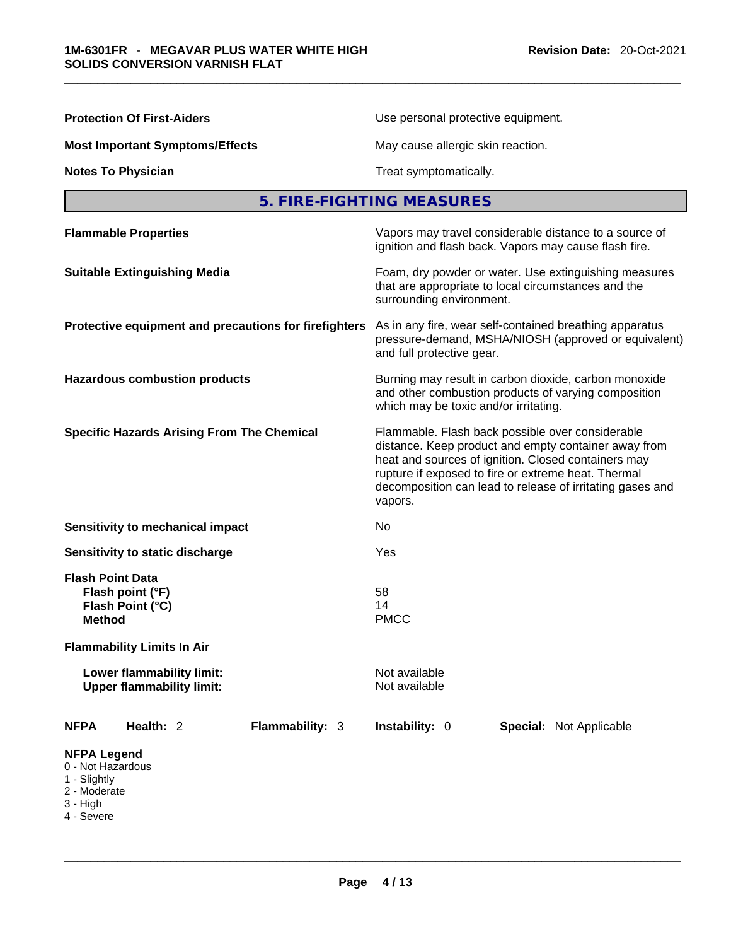| <b>Protection Of First-Aiders</b>                                                                                     | Use personal protective equipment.                                                                                                                                                                                                                                                             |  |  |
|-----------------------------------------------------------------------------------------------------------------------|------------------------------------------------------------------------------------------------------------------------------------------------------------------------------------------------------------------------------------------------------------------------------------------------|--|--|
| <b>Most Important Symptoms/Effects</b>                                                                                | May cause allergic skin reaction.                                                                                                                                                                                                                                                              |  |  |
| <b>Notes To Physician</b>                                                                                             | Treat symptomatically.                                                                                                                                                                                                                                                                         |  |  |
|                                                                                                                       | 5. FIRE-FIGHTING MEASURES                                                                                                                                                                                                                                                                      |  |  |
| <b>Flammable Properties</b>                                                                                           | Vapors may travel considerable distance to a source of<br>ignition and flash back. Vapors may cause flash fire.                                                                                                                                                                                |  |  |
| <b>Suitable Extinguishing Media</b>                                                                                   | Foam, dry powder or water. Use extinguishing measures<br>that are appropriate to local circumstances and the<br>surrounding environment.                                                                                                                                                       |  |  |
| Protective equipment and precautions for firefighters                                                                 | As in any fire, wear self-contained breathing apparatus<br>pressure-demand, MSHA/NIOSH (approved or equivalent)<br>and full protective gear.                                                                                                                                                   |  |  |
| <b>Hazardous combustion products</b>                                                                                  | Burning may result in carbon dioxide, carbon monoxide<br>and other combustion products of varying composition<br>which may be toxic and/or irritating.                                                                                                                                         |  |  |
| <b>Specific Hazards Arising From The Chemical</b>                                                                     | Flammable. Flash back possible over considerable<br>distance. Keep product and empty container away from<br>heat and sources of ignition. Closed containers may<br>rupture if exposed to fire or extreme heat. Thermal<br>decomposition can lead to release of irritating gases and<br>vapors. |  |  |
| Sensitivity to mechanical impact                                                                                      | No                                                                                                                                                                                                                                                                                             |  |  |
| Sensitivity to static discharge                                                                                       | Yes                                                                                                                                                                                                                                                                                            |  |  |
| <b>Flash Point Data</b><br>Flash point (°F)<br>Flash Point (°C)<br><b>Method</b><br><b>Flammability Limits In Air</b> | 58<br>14<br><b>PMCC</b>                                                                                                                                                                                                                                                                        |  |  |
| Lower flammability limit:<br><b>Upper flammability limit:</b>                                                         | Not available<br>Not available                                                                                                                                                                                                                                                                 |  |  |
| Flammability: 3<br><b>NFPA</b><br>Health: 2                                                                           | Instability: 0<br>Special: Not Applicable                                                                                                                                                                                                                                                      |  |  |
| <b>NFPA Legend</b><br>0 - Not Hazardous<br>1 - Slightly<br>2 - Moderate<br>$3 - High$<br>4 - Severe                   |                                                                                                                                                                                                                                                                                                |  |  |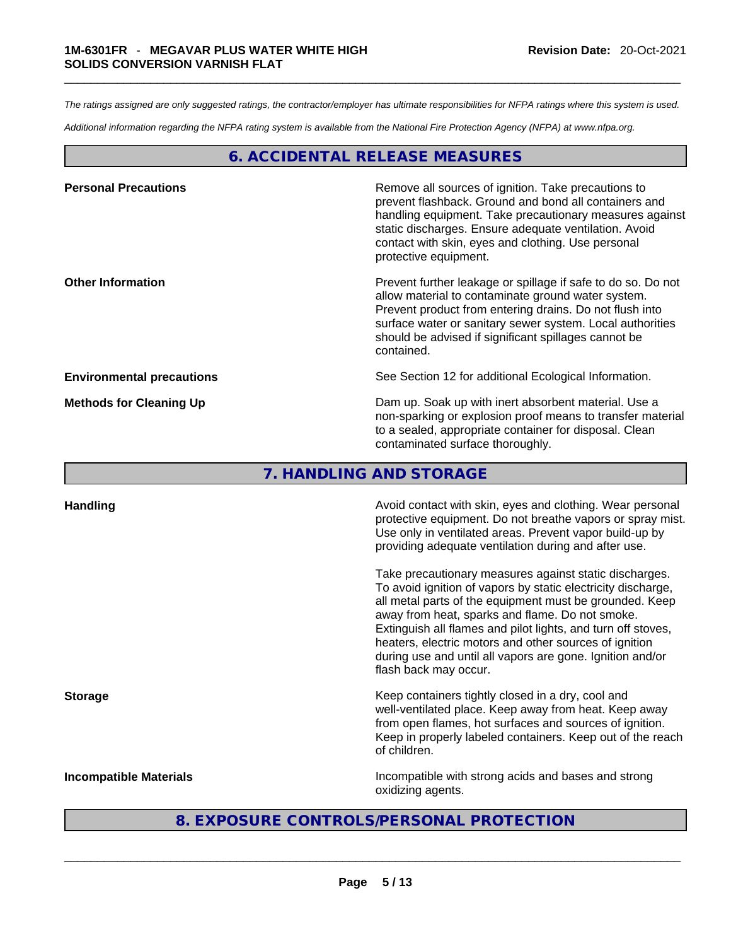*The ratings assigned are only suggested ratings, the contractor/employer has ultimate responsibilities for NFPA ratings where this system is used.* 

*Additional information regarding the NFPA rating system is available from the National Fire Protection Agency (NFPA) at www.nfpa.org.* 

#### **6. ACCIDENTAL RELEASE MEASURES**

| <b>Personal Precautions</b>      | Remove all sources of ignition. Take precautions to<br>prevent flashback. Ground and bond all containers and<br>handling equipment. Take precautionary measures against<br>static discharges. Ensure adequate ventilation. Avoid<br>contact with skin, eyes and clothing. Use personal<br>protective equipment.  |
|----------------------------------|------------------------------------------------------------------------------------------------------------------------------------------------------------------------------------------------------------------------------------------------------------------------------------------------------------------|
| <b>Other Information</b>         | Prevent further leakage or spillage if safe to do so. Do not<br>allow material to contaminate ground water system.<br>Prevent product from entering drains. Do not flush into<br>surface water or sanitary sewer system. Local authorities<br>should be advised if significant spillages cannot be<br>contained. |
| <b>Environmental precautions</b> | See Section 12 for additional Ecological Information.                                                                                                                                                                                                                                                            |
| <b>Methods for Cleaning Up</b>   | Dam up. Soak up with inert absorbent material. Use a<br>non-sparking or explosion proof means to transfer material<br>to a sealed, appropriate container for disposal. Clean<br>contaminated surface thoroughly.                                                                                                 |

**7. HANDLING AND STORAGE** 

| <b>Handling</b>               | Avoid contact with skin, eyes and clothing. Wear personal<br>protective equipment. Do not breathe vapors or spray mist.<br>Use only in ventilated areas. Prevent vapor build-up by<br>providing adequate ventilation during and after use.                                                                                                                                                                                                           |  |
|-------------------------------|------------------------------------------------------------------------------------------------------------------------------------------------------------------------------------------------------------------------------------------------------------------------------------------------------------------------------------------------------------------------------------------------------------------------------------------------------|--|
|                               | Take precautionary measures against static discharges.<br>To avoid ignition of vapors by static electricity discharge,<br>all metal parts of the equipment must be grounded. Keep<br>away from heat, sparks and flame. Do not smoke.<br>Extinguish all flames and pilot lights, and turn off stoves,<br>heaters, electric motors and other sources of ignition<br>during use and until all vapors are gone. Ignition and/or<br>flash back may occur. |  |
| <b>Storage</b>                | Keep containers tightly closed in a dry, cool and<br>well-ventilated place. Keep away from heat. Keep away<br>from open flames, hot surfaces and sources of ignition.<br>Keep in properly labeled containers. Keep out of the reach<br>of children.                                                                                                                                                                                                  |  |
| <b>Incompatible Materials</b> | Incompatible with strong acids and bases and strong<br>oxidizing agents.                                                                                                                                                                                                                                                                                                                                                                             |  |
|                               | 8. EXPOSURE CONTROLS/PERSONAL PROTECTION                                                                                                                                                                                                                                                                                                                                                                                                             |  |
|                               |                                                                                                                                                                                                                                                                                                                                                                                                                                                      |  |

#### **8. EXPOSURE CONTROLS/PERSONAL PROTECTION**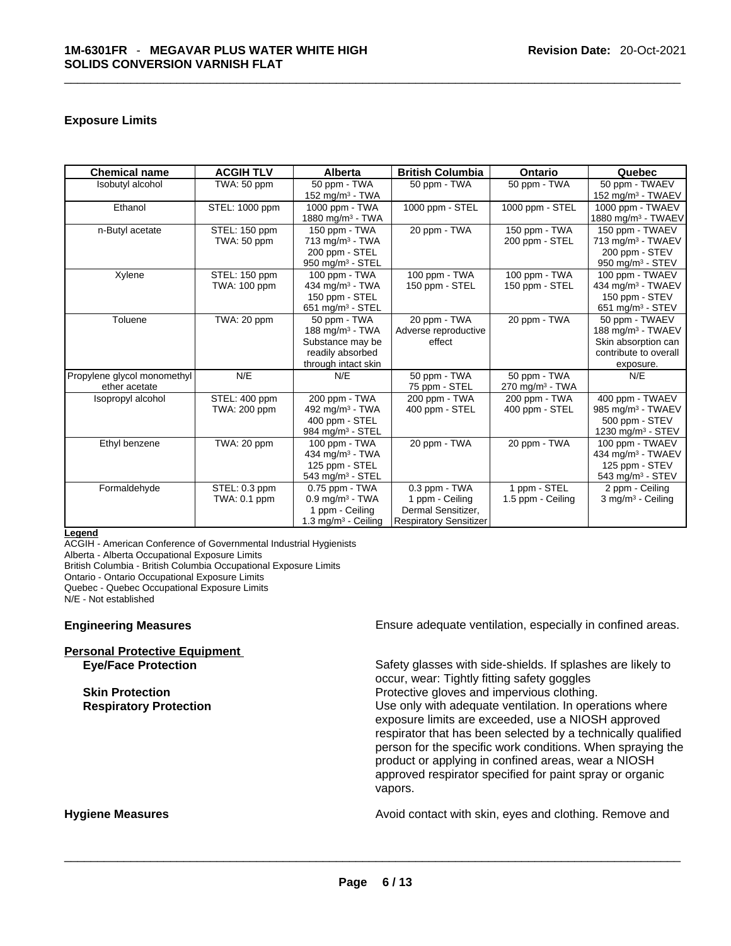#### **Exposure Limits**

| <b>Chemical name</b>        | <b>ACGIH TLV</b> | <b>Alberta</b>                  | <b>British Columbia</b>       | <b>Ontario</b>                | Quebec                         |
|-----------------------------|------------------|---------------------------------|-------------------------------|-------------------------------|--------------------------------|
| Isobutyl alcohol            | TWA: 50 ppm      | 50 ppm - TWA                    | 50 ppm - TWA                  | 50 ppm - TWA                  | 50 ppm - TWAEV                 |
|                             |                  | 152 mg/m $3$ - TWA              |                               |                               | 152 mg/m <sup>3</sup> - TWAEV  |
| Ethanol                     | STEL: 1000 ppm   | 1000 ppm - TWA                  | 1000 ppm - STEL               | 1000 ppm - STEL               | 1000 ppm - TWAEV               |
|                             |                  | 1880 mg/m <sup>3</sup> - TWA    |                               |                               | 1880 mg/m <sup>3</sup> - TWAEV |
| n-Butyl acetate             | STEL: 150 ppm    | 150 ppm - TWA                   | 20 ppm - TWA                  | 150 ppm - TWA                 | 150 ppm - TWAEV                |
|                             | TWA: 50 ppm      | 713 mg/m <sup>3</sup> - TWA     |                               | 200 ppm - STEL                | 713 mg/m <sup>3</sup> - TWAEV  |
|                             |                  | 200 ppm - STEL                  |                               |                               | 200 ppm - STEV                 |
|                             |                  | 950 mg/m <sup>3</sup> - STEL    |                               |                               | 950 mg/m $3 -$ STEV            |
| Xylene                      | STEL: 150 ppm    | 100 ppm - TWA                   | 100 ppm - TWA                 | 100 ppm - TWA                 | 100 ppm - TWAEV                |
|                             | TWA: 100 ppm     | 434 mg/m <sup>3</sup> - TWA     | 150 ppm - STEL                | 150 ppm - STEL                | 434 mg/m <sup>3</sup> - TWAEV  |
|                             |                  | 150 ppm - STEL                  |                               |                               | 150 ppm - STEV                 |
|                             |                  | 651 mg/m $3 -$ STEL             |                               |                               | 651 mg/m <sup>3</sup> - STEV   |
| Toluene                     | TWA: 20 ppm      | 50 ppm - TWA                    | 20 ppm - TWA                  | 20 ppm - TWA                  | 50 ppm - TWAEV                 |
|                             |                  | 188 mg/m <sup>3</sup> - TWA     | Adverse reproductive          |                               | 188 mg/m <sup>3</sup> - TWAEV  |
|                             |                  | Substance may be                | effect                        |                               | Skin absorption can            |
|                             |                  | readily absorbed                |                               |                               | contribute to overall          |
|                             |                  | through intact skin             |                               |                               | exposure.                      |
| Propylene glycol monomethyl | N/E              | N/E                             | 50 ppm - TWA                  | 50 ppm - TWA                  | N/E                            |
| ether acetate               |                  |                                 | 75 ppm - STEL                 | $270$ mg/m <sup>3</sup> - TWA |                                |
| Isopropyl alcohol           | STEL: 400 ppm    | 200 ppm - TWA                   | 200 ppm - TWA                 | 200 ppm - TWA                 | 400 ppm - TWAEV                |
|                             | TWA: 200 ppm     | 492 mg/m <sup>3</sup> - TWA     | 400 ppm - STEL                | 400 ppm - STEL                | 985 mg/m <sup>3</sup> - TWAEV  |
|                             |                  | 400 ppm - STEL                  |                               |                               | 500 ppm - STEV                 |
|                             |                  | 984 mg/m <sup>3</sup> - STEL    |                               |                               | 1230 mg/m <sup>3</sup> - STEV  |
| Ethyl benzene               | TWA: 20 ppm      | 100 ppm - TWA                   | 20 ppm - TWA                  | 20 ppm - TWA                  | 100 ppm - TWAEV                |
|                             |                  | 434 mg/m <sup>3</sup> - TWA     |                               |                               | 434 mg/m <sup>3</sup> - TWAEV  |
|                             |                  | 125 ppm - STEL                  |                               |                               | 125 ppm - STEV                 |
|                             |                  | 543 mg/m <sup>3</sup> - STEL    |                               |                               | 543 mg/m $3 -$ STEV            |
| Formaldehyde                | STEL: 0.3 ppm    | $0.75$ ppm $-$ TWA              | 0.3 ppm - TWA                 | 1 ppm - STEL                  | 2 ppm - Ceiling                |
|                             | TWA: 0.1 ppm     | $0.9$ mg/m <sup>3</sup> - TWA   | 1 ppm - Ceiling               | 1.5 ppm - Ceiling             | 3 mg/m <sup>3</sup> - Ceiling  |
|                             |                  | 1 ppm - Ceiling                 | Dermal Sensitizer,            |                               |                                |
|                             |                  | 1.3 mg/m <sup>3</sup> - Ceiling | <b>Respiratory Sensitizer</b> |                               |                                |

#### **Legend**

ACGIH - American Conference of Governmental Industrial Hygienists

Alberta - Alberta Occupational Exposure Limits

British Columbia - British Columbia Occupational Exposure Limits

Ontario - Ontario Occupational Exposure Limits

Quebec - Quebec Occupational Exposure Limits

N/E - Not established

## **Personal Protective Equipment**

**Engineering Measures Ensure 2018** Ensure adequate ventilation, especially in confined areas.

**Eye/Face Protection** Safety glasses with side-shields. If splashes are likely to occur, wear: Tightly fitting safety goggles **Skin Protection Protection Protective gloves and impervious clothing. Respiratory Protection Number 2012** Use only with adequate ventilation. In operations where exposure limits are exceeded, use a NIOSH approved respirator that has been selected by a technically qualified person for the specific work conditions. When spraying the product or applying in confined areas, wear a NIOSH approved respirator specified for paint spray or organic vapors.

**Hygiene Measures Avoid contact with skin, eyes and clothing. Remove and Hygiene Measures** and clothing. Remove and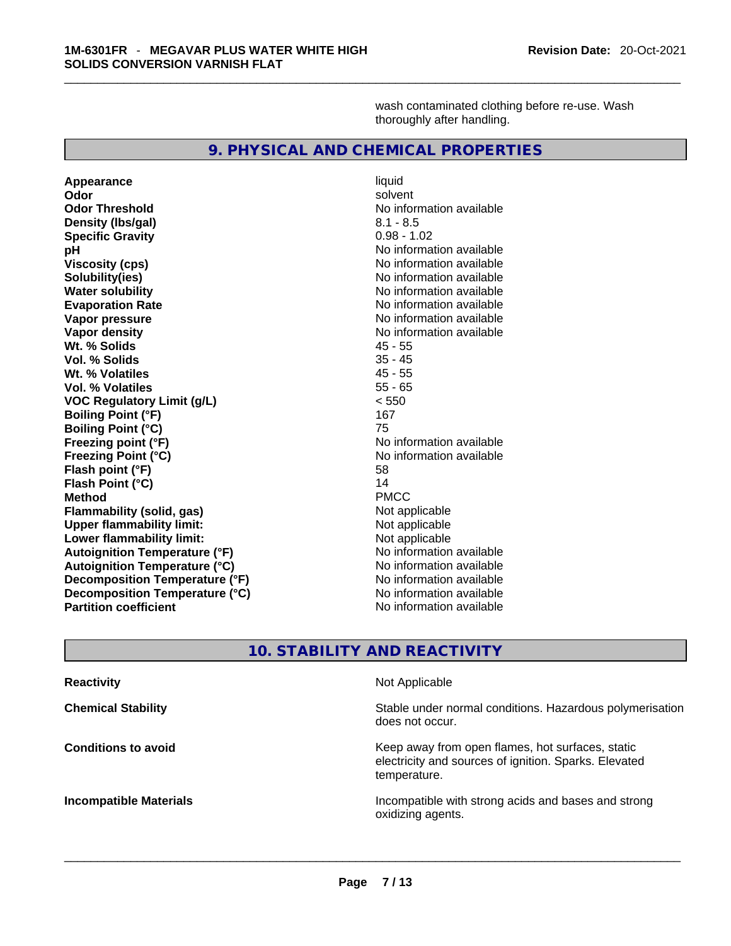wash contaminated clothing before re-use. Wash thoroughly after handling.

#### **9. PHYSICAL AND CHEMICAL PROPERTIES**

**Appearance** liquid **Odor Solvent Solvent Solvent Solvent Odor Threshold No information available** No information available **Density (lbs/gal)** 8.1 - 8.5 **Specific Gravity** 0.98 - 1.02 **pH**<br>
Viscosity (cps) <br>
Viscosity (cps) <br>
Viscosity (cps) <br>
Viscosity (cps) <br>
Viscosity (cps) <br>
Viscosity (cps) <br>
Viscosity (cps) <br>
Viscosity (cps) <br>
Viscosity (cps) <br>
Viscosity (cps) <br>
Viscosity (cps) <br>
Viscosity (cps) <br> **Solubility(ies)**<br> **No information available**<br> **Water solubility**<br> **Water solubility Evaporation Rate No information available No information available Vapor pressure**  No information available **No information** available **Vapor density No information available No information available Wt. % Solids** 45 - 55 **Vol. % Solids** 35 - 45 **Wt. % Volatiles Vol. % Volatiles** 55 - 65 **VOC Regulatory Limit (g/L)** < 550 **Boiling Point (°F) Boiling Point (°C)** 75 **Freezing point (°F)** and the state of the No information available **Freezing Point (°C)** No information available **Flash point (°F)** 58 **Flash Point (°C)** 14 **Method** PMCC **Flammability (solid, gas)** Not applicable **Upper flammability limit:**<br> **Lower flammability limit:** Not applicable Not applicable **Lower flammability limit:**<br> **Autoignition Temperature (°F)** Not applicable havailable available **Autoignition Temperature (°F)**<br> **Autoignition Temperature (°C)** No information available **Autoignition Temperature (°C)**<br> **Decomposition Temperature (°F)** No information available **Decomposition Temperature (°F) Decomposition Temperature (°C)** No information available **Partition coefficient** No information available

**Viscosity (cps)** No information available **No information available** 

#### **10. STABILITY AND REACTIVITY**

| <b>Reactivity</b>             | Not Applicable                                                                                                            |
|-------------------------------|---------------------------------------------------------------------------------------------------------------------------|
| <b>Chemical Stability</b>     | Stable under normal conditions. Hazardous polymerisation<br>does not occur.                                               |
| <b>Conditions to avoid</b>    | Keep away from open flames, hot surfaces, static<br>electricity and sources of ignition. Sparks. Elevated<br>temperature. |
| <b>Incompatible Materials</b> | Incompatible with strong acids and bases and strong<br>oxidizing agents.                                                  |
|                               |                                                                                                                           |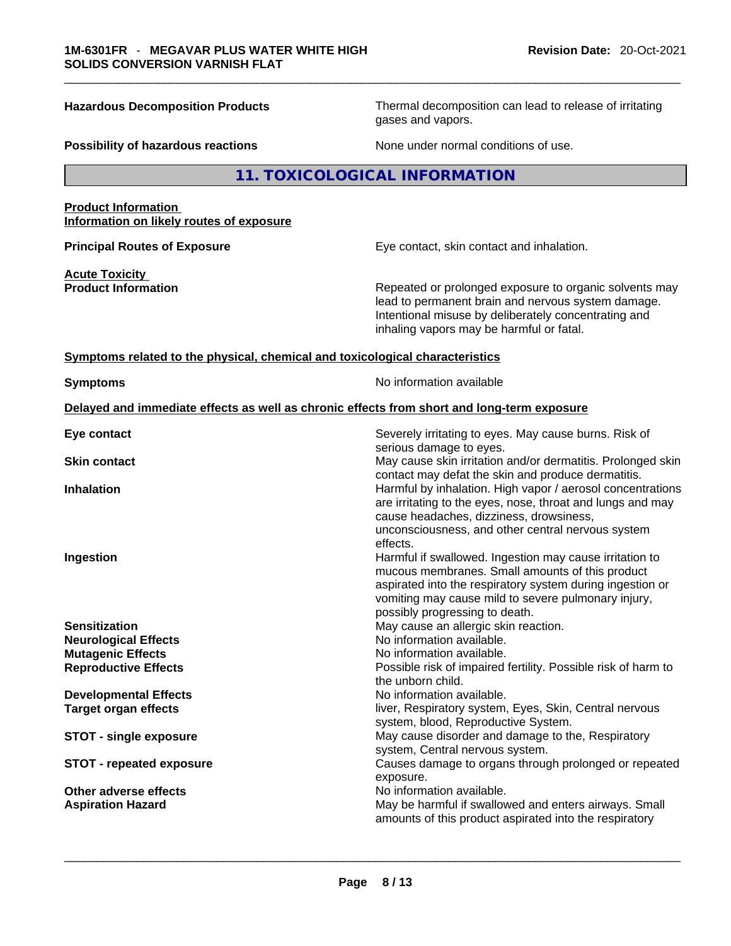**Hazardous Decomposition Products** Thermal decomposition can lead to release of irritating gases and vapors.

**Possibility of hazardous reactions** None under normal conditions of use.

#### **11. TOXICOLOGICAL INFORMATION**

#### **Product Information Information on likely routes of exposure**

**Principal Routes of Exposure Exposure** Eye contact, skin contact and inhalation.

**Acute Toxicity** 

**Product Information Repeated or prolonged exposure to organic solvents may** Repeated or prolonged exposure to organic solvents may lead to permanent brain and nervous system damage. Intentional misuse by deliberately concentrating and inhaling vapors may be harmful or fatal.

#### **<u>Symptoms related to the physical, chemical and toxicological characteristics</u>**

**Symptoms Symptoms No information available** 

#### **Delayed and immediate effects as well as chronic effects from short and long-term exposure**

| Eye contact                     | Severely irritating to eyes. May cause burns. Risk of<br>serious damage to eyes.                                                                                                                                               |
|---------------------------------|--------------------------------------------------------------------------------------------------------------------------------------------------------------------------------------------------------------------------------|
| <b>Skin contact</b>             | May cause skin irritation and/or dermatitis. Prolonged skin                                                                                                                                                                    |
| <b>Inhalation</b>               | contact may defat the skin and produce dermatitis.<br>Harmful by inhalation. High vapor / aerosol concentrations<br>are irritating to the eyes, nose, throat and lungs and may                                                 |
|                                 | cause headaches, dizziness, drowsiness,<br>unconsciousness, and other central nervous system<br>effects.                                                                                                                       |
| Ingestion                       | Harmful if swallowed. Ingestion may cause irritation to<br>mucous membranes. Small amounts of this product<br>aspirated into the respiratory system during ingestion or<br>vomiting may cause mild to severe pulmonary injury, |
|                                 | possibly progressing to death.                                                                                                                                                                                                 |
| <b>Sensitization</b>            | May cause an allergic skin reaction.                                                                                                                                                                                           |
| <b>Neurological Effects</b>     | No information available.                                                                                                                                                                                                      |
| <b>Mutagenic Effects</b>        | No information available.                                                                                                                                                                                                      |
| <b>Reproductive Effects</b>     | Possible risk of impaired fertility. Possible risk of harm to<br>the unborn child.                                                                                                                                             |
| <b>Developmental Effects</b>    | No information available.                                                                                                                                                                                                      |
| <b>Target organ effects</b>     | liver, Respiratory system, Eyes, Skin, Central nervous<br>system, blood, Reproductive System.                                                                                                                                  |
| <b>STOT - single exposure</b>   | May cause disorder and damage to the, Respiratory<br>system, Central nervous system.                                                                                                                                           |
| <b>STOT - repeated exposure</b> | Causes damage to organs through prolonged or repeated<br>exposure.                                                                                                                                                             |
| Other adverse effects           | No information available.                                                                                                                                                                                                      |
| <b>Aspiration Hazard</b>        | May be harmful if swallowed and enters airways. Small<br>amounts of this product aspirated into the respiratory                                                                                                                |
|                                 |                                                                                                                                                                                                                                |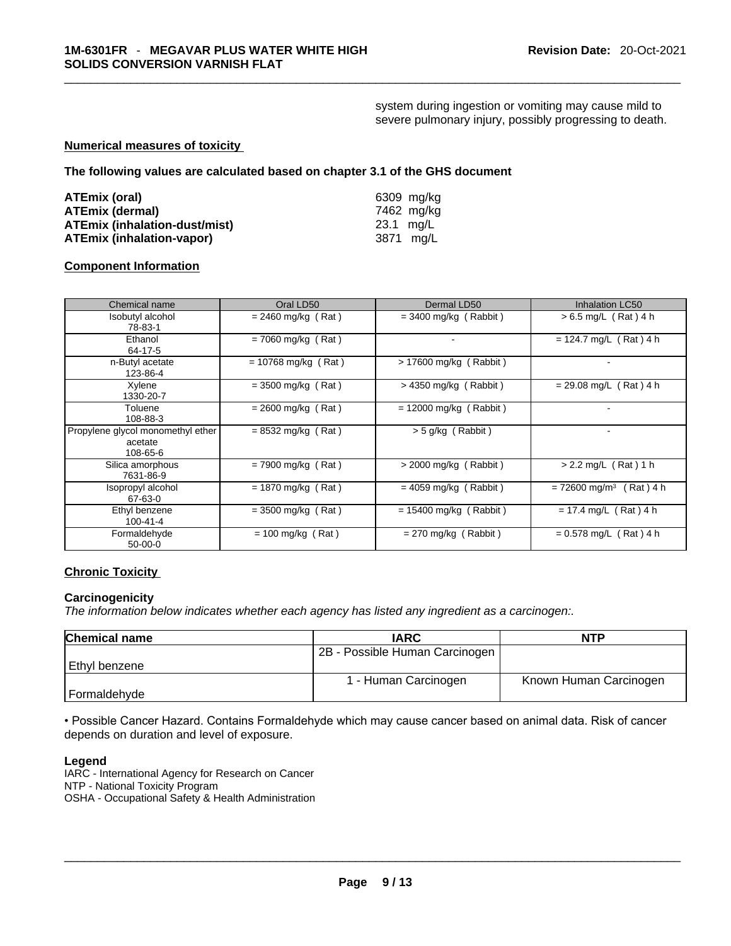system during ingestion or vomiting may cause mild to severe pulmonary injury, possibly progressing to death.

#### **Numerical measures of toxicity**

**The following values are calculated based on chapter 3.1 of the GHS document**

| ATEmix (oral)                        | 6309 mg/ka |
|--------------------------------------|------------|
| <b>ATEmix (dermal)</b>               | 7462 ma/ka |
| <b>ATEmix (inhalation-dust/mist)</b> | 23.1 ma/L  |
| <b>ATEmix (inhalation-vapor)</b>     | 3871 ma/L  |

#### **Component Information**

| Chemical name                                            | Oral LD50             | Dermal LD50              | <b>Inhalation LC50</b>                  |
|----------------------------------------------------------|-----------------------|--------------------------|-----------------------------------------|
| Isobutyl alcohol<br>78-83-1                              | $= 2460$ mg/kg (Rat)  | $=$ 3400 mg/kg (Rabbit)  | $> 6.5$ mg/L (Rat) 4 h                  |
| Ethanol<br>64-17-5                                       | $= 7060$ mg/kg (Rat)  | ۰                        | $= 124.7$ mg/L (Rat) 4 h                |
| n-Butyl acetate<br>123-86-4                              | $= 10768$ mg/kg (Rat) | > 17600 mg/kg (Rabbit)   |                                         |
| Xylene<br>1330-20-7                                      | $=$ 3500 mg/kg (Rat)  | $>$ 4350 mg/kg (Rabbit)  | $= 29.08$ mg/L (Rat) 4 h                |
| Toluene<br>108-88-3                                      | $= 2600$ mg/kg (Rat)  | $= 12000$ mg/kg (Rabbit) |                                         |
| Propylene glycol monomethyl ether<br>acetate<br>108-65-6 | $= 8532$ mg/kg (Rat)  | $>$ 5 g/kg (Rabbit)      |                                         |
| Silica amorphous<br>7631-86-9                            | $= 7900$ mg/kg (Rat)  | $>$ 2000 mg/kg (Rabbit)  | $> 2.2$ mg/L (Rat) 1 h                  |
| Isopropyl alcohol<br>67-63-0                             | $= 1870$ mg/kg (Rat)  | $= 4059$ mg/kg (Rabbit)  | $= 72600$ mg/m <sup>3</sup><br>(Rat)4 h |
| Ethyl benzene<br>100-41-4                                | $=$ 3500 mg/kg (Rat)  | $= 15400$ mg/kg (Rabbit) | $= 17.4$ mg/L (Rat) 4 h                 |
| Formaldehyde<br>$50-00-0$                                | $= 100$ mg/kg (Rat)   | $= 270$ mg/kg (Rabbit)   | $= 0.578$ mg/L (Rat) 4 h                |

#### **Chronic Toxicity**

#### **Carcinogenicity**

*The information below indicates whether each agency has listed any ingredient as a carcinogen:.* 

| Chemical name  | <b>IARC</b>                    | <b>NTP</b>             |
|----------------|--------------------------------|------------------------|
|                | 2B - Possible Human Carcinogen |                        |
| Ethyl benzene  |                                |                        |
|                | 1 - Human Carcinogen           | Known Human Carcinogen |
| l Formaldehyde |                                |                        |

• Possible Cancer Hazard. Contains Formaldehyde which may cause cancer based on animal data. Risk of cancer depends on duration and level of exposure.

#### **Legend**

IARC - International Agency for Research on Cancer NTP - National Toxicity Program OSHA - Occupational Safety & Health Administration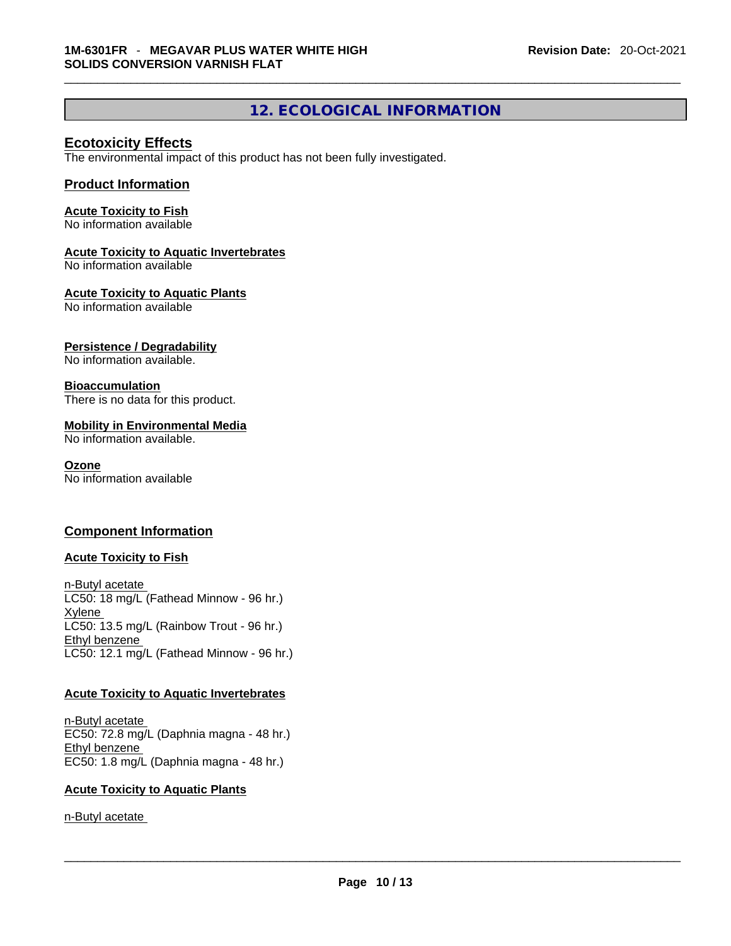### **12. ECOLOGICAL INFORMATION**

#### **Ecotoxicity Effects**

The environmental impact of this product has not been fully investigated.

#### **Product Information**

#### **Acute Toxicity to Fish**

No information available

#### **Acute Toxicity to Aquatic Invertebrates**

No information available

#### **Acute Toxicity to Aquatic Plants**

No information available

#### **Persistence / Degradability**

No information available.

#### **Bioaccumulation**

There is no data for this product.

#### **Mobility in Environmental Media**

No information available.

#### **Ozone**

No information available

#### **Component Information**

#### **Acute Toxicity to Fish**

n-Butyl acetate LC50: 18 mg/L (Fathead Minnow - 96 hr.) **Xylene** LC50: 13.5 mg/L (Rainbow Trout - 96 hr.) Ethyl benzene LC50: 12.1 mg/L (Fathead Minnow - 96 hr.)

#### **Acute Toxicity to Aquatic Invertebrates**

n-Butyl acetate EC50: 72.8 mg/L (Daphnia magna - 48 hr.) Ethyl benzene EC50: 1.8 mg/L (Daphnia magna - 48 hr.)

#### **Acute Toxicity to Aquatic Plants**

n-Butyl acetate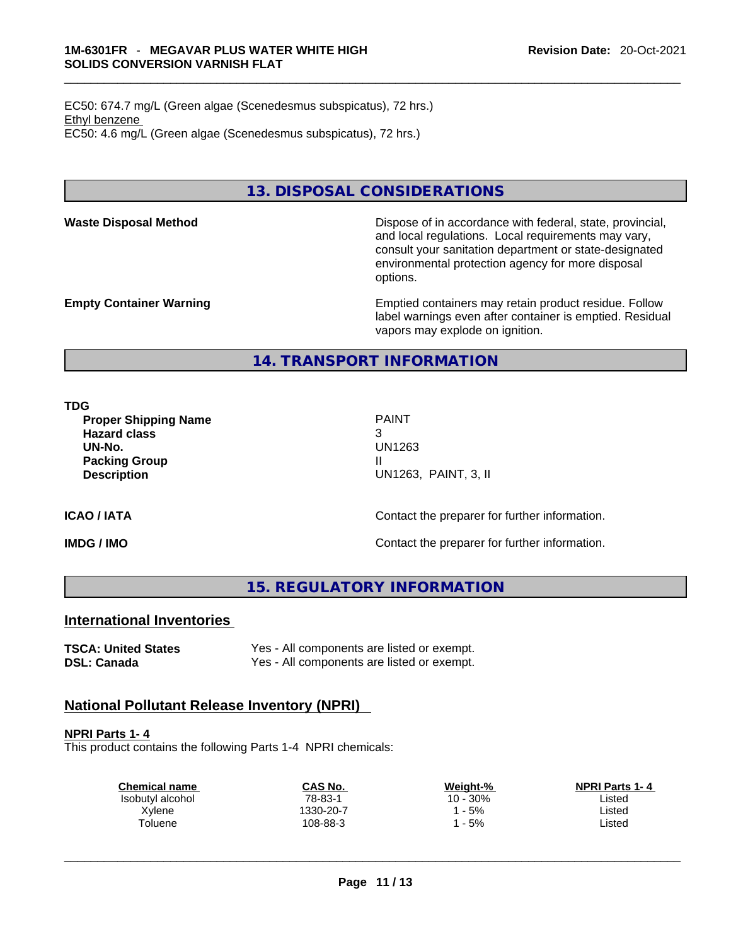EC50: 674.7 mg/L (Green algae (Scenedesmus subspicatus), 72 hrs.) Ethyl benzene EC50: 4.6 mg/L (Green algae (Scenedesmus subspicatus), 72 hrs.)

#### **13. DISPOSAL CONSIDERATIONS**

**Waste Disposal Method** Dispose of in accordance with federal, state, provincial, and local regulations. Local requirements may vary, consult your sanitation department or state-designated environmental protection agency for more disposal options.

**Empty Container Warning <b>Emptied** Containers may retain product residue. Follow label warnings even after container is emptied. Residual vapors may explode on ignition.

#### **14. TRANSPORT INFORMATION**

**TDG** 

**Proper Shipping Name** PAINT **Hazard class** 3 **UN-No.** UN1263 **Packing Group III Description** UN1263, PAINT, 3, II

**ICAO / IATA ICAO / IATA Contact the preparer for further information.** 

**IMDG / IMO IMO Contact the preparer for further information.** 

**15. REGULATORY INFORMATION** 

#### **International Inventories**

**TSCA: United States** Yes - All components are listed or exempt. **DSL: Canada** Yes - All components are listed or exempt.

### **National Pollutant Release Inventory (NPRI)**

**NPRI Parts 1- 4**

This product contains the following Parts 1-4 NPRI chemicals:

| <b>Chemical name</b> | CAS No.   | Weight-% | <b>NPRI Parts 1-4</b> |  |
|----------------------|-----------|----------|-----------------------|--|
| Isobutyl alcohol     | 78-83-1   | 10 - 30% | ∟isted                |  |
| Xylene               | 1330-20-7 | $-5%$    | ∟isted                |  |
| Toluene              | 108-88-3  | $-5%$    | Listed                |  |
|                      |           |          |                       |  |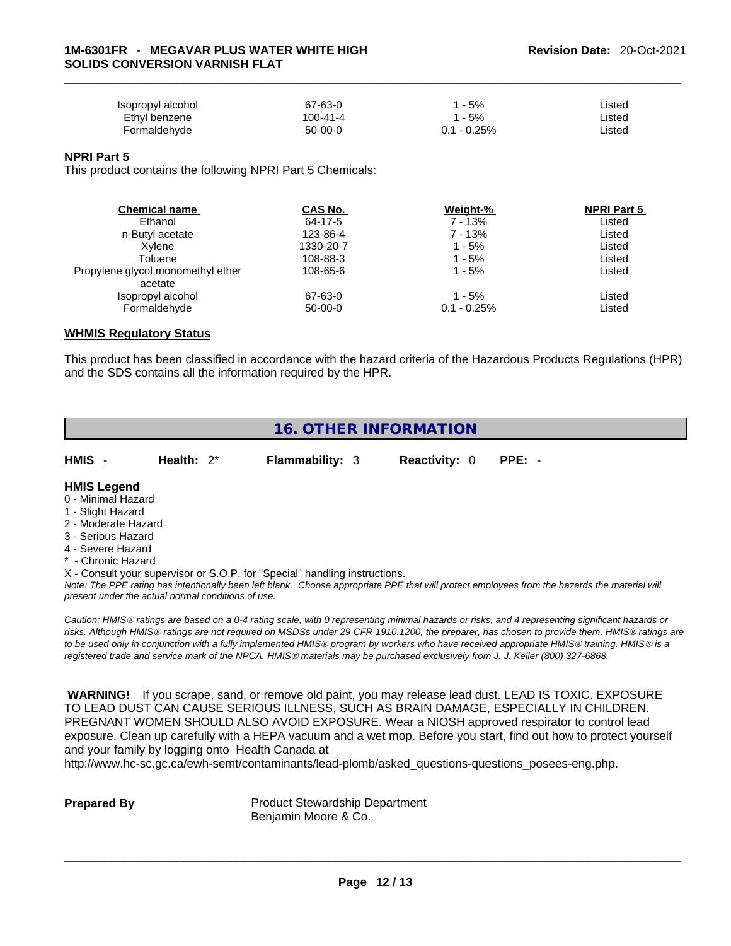| Isopropyl alcohol | 67-63-0   | - 5%          | Listed |
|-------------------|-----------|---------------|--------|
| Ethyl benzene     | 100-41-4  | l - 5%        | ∟isted |
| Formaldehvde      | $50-00-0$ | $0.1 - 0.25%$ | _isted |

#### **NPRI Part 5**

This product contains the following NPRI Part 5 Chemicals:

| <b>Chemical name</b>              | CAS No.   | Weight-%      | <b>NPRI Part 5</b> |  |
|-----------------------------------|-----------|---------------|--------------------|--|
| Ethanol                           | 64-17-5   | 7 - 13%       | Listed             |  |
| n-Butyl acetate                   | 123-86-4  | 7 - 13%       | Listed             |  |
| Xvlene                            | 1330-20-7 | 1 - 5%        | Listed             |  |
| Toluene                           | 108-88-3  | 1 - 5%        | Listed             |  |
| Propylene glycol monomethyl ether | 108-65-6  | 1 - 5%        | Listed             |  |
| acetate                           |           |               |                    |  |
| Isopropyl alcohol                 | 67-63-0   | 1 - 5%        | Listed             |  |
| Formaldehyde                      | $50-00-0$ | $0.1 - 0.25%$ | Listed             |  |
|                                   |           |               |                    |  |

#### **WHMIS Regulatory Status**

This product has been classified in accordance with the hazard criteria of the Hazardous Products Regulations (HPR) and the SDS contains all the information required by the HPR.

#### **16. OTHER INFORMATION**

| <b>HMIS</b>                              | Health: $2^*$ | <b>Flammability: 3</b> | <b>Reactivity: 0</b> | $PPE: -$ |
|------------------------------------------|---------------|------------------------|----------------------|----------|
| <b>HMIS Legend</b><br>0 - Minimal Hazard |               |                        |                      |          |
| 1 - Slight Hazard                        |               |                        |                      |          |

- 2 Moderate Hazard
- 3 Serious Hazard
- 4 Severe Hazard
- \* Chronic Hazard

X - Consult your supervisor or S.O.P. for "Special" handling instructions.

Note: The PPE rating has intentionally been left blank. Choose appropriate PPE that will protect employees from the hazards the material will *present under the actual normal conditions of use.* 

*Caution: HMISÒ ratings are based on a 0-4 rating scale, with 0 representing minimal hazards or risks, and 4 representing significant hazards or risks. Although HMISÒ ratings are not required on MSDSs under 29 CFR 1910.1200, the preparer, has chosen to provide them. HMISÒ ratings are to be used only in conjunction with a fully implemented HMISÒ program by workers who have received appropriate HMISÒ training. HMISÒ is a registered trade and service mark of the NPCA. HMISÒ materials may be purchased exclusively from J. J. Keller (800) 327-6868.* 

 **WARNING!** If you scrape, sand, or remove old paint, you may release lead dust. LEAD IS TOXIC. EXPOSURE TO LEAD DUST CAN CAUSE SERIOUS ILLNESS, SUCH AS BRAIN DAMAGE, ESPECIALLY IN CHILDREN. PREGNANT WOMEN SHOULD ALSO AVOID EXPOSURE.Wear a NIOSH approved respirator to control lead exposure. Clean up carefully with a HEPA vacuum and a wet mop. Before you start, find out how to protect yourself and your family by logging onto Health Canada at

http://www.hc-sc.gc.ca/ewh-semt/contaminants/lead-plomb/asked\_questions-questions\_posees-eng.php.

**Prepared By Product Stewardship Department** Benjamin Moore & Co.